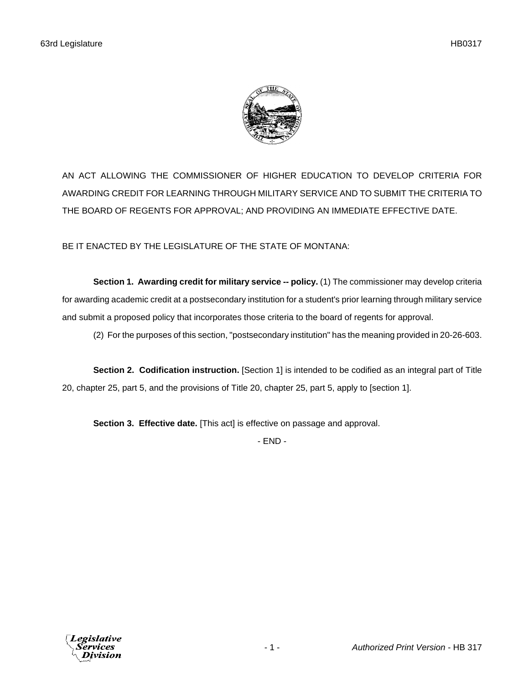

AN ACT ALLOWING THE COMMISSIONER OF HIGHER EDUCATION TO DEVELOP CRITERIA FOR AWARDING CREDIT FOR LEARNING THROUGH MILITARY SERVICE AND TO SUBMIT THE CRITERIA TO THE BOARD OF REGENTS FOR APPROVAL; AND PROVIDING AN IMMEDIATE EFFECTIVE DATE.

BE IT ENACTED BY THE LEGISLATURE OF THE STATE OF MONTANA:

**Section 1. Awarding credit for military service -- policy.** (1) The commissioner may develop criteria for awarding academic credit at a postsecondary institution for a student's prior learning through military service and submit a proposed policy that incorporates those criteria to the board of regents for approval.

(2) For the purposes of this section, "postsecondary institution" has the meaning provided in 20-26-603.

**Section 2. Codification instruction.** [Section 1] is intended to be codified as an integral part of Title 20, chapter 25, part 5, and the provisions of Title 20, chapter 25, part 5, apply to [section 1].

**Section 3. Effective date.** [This act] is effective on passage and approval.

- END -

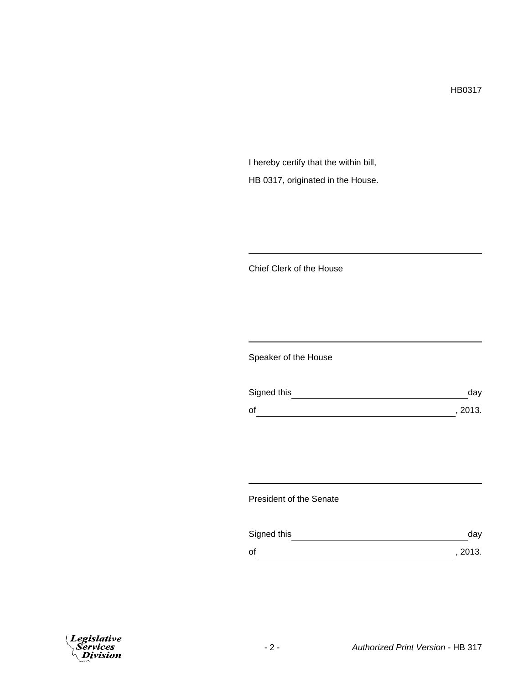HB0317

I hereby certify that the within bill, HB 0317, originated in the House.

Chief Clerk of the House

Speaker of the House

| Signed this | day     |
|-------------|---------|
| of          | , 2013. |

President of the Senate

| Signed this | dav     |
|-------------|---------|
| of          | , 2013. |